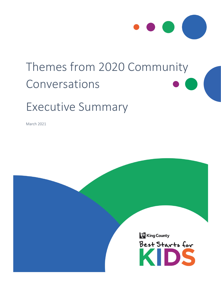

# Themes from 2020 Community Conversations

# Executive Summary

March 2021

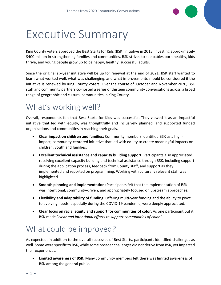# Executive Summary

King County voters approved the Best Starts for Kids (BSK) initiative in 2015, investing approximately \$400 million in strengthening families and communities. BSK strives to see babies born healthy, kids thrive, and young people grow up to be happy, healthy, successful adults.

Since the original six-year initiative will be up for renewal at the end of 2021, BSK staff wanted to learn what worked well, what was challenging, and what improvements should be considered if the initiative is renewed by King County voters. Over the course of October and November 2020, BSK staff and community partners co-hosted a series of thirteen community conversations across a broad range of geographic and cultural communities in King County.

#### What's working well?

Overall, respondents felt that Best Starts for Kids was successful. They viewed it as an impactful initiative that led with equity, was thoughtfully and inclusively planned, and supported funded organizations and communities in reaching their goals.

- **Clear impact on children and families:** Community members identified BSK as a highimpact, community-centered initiative that led with equity to create meaningful impacts on children, youth and families.
- **Excellent technical assistance and capacity building support:** Participants also appreciated receiving excellent capacity building and technical assistance through BSK, including support during the application process, feedback from County staff, and support as they implemented and reported on programming. Working with culturally relevant staff was highlighted.
- **Smooth planning and implementation:** Participants felt that the implementation of BSK was intentional, community-driven, and appropriately focused on upstream approaches.
- **Flexibility and adaptability of funding:** Offering multi-year funding and the ability to pivot to evolving needs, especially during the COVID-19 pandemic, were deeply appreciated.
- **Clear focus on racial equity and support for communities of color:** As one participant put it, BSK made "*clear and intentional efforts to support communities of color.*"

### What could be improved?

As expected, in addition to the overall successes of Best Starts, participants identified challenges as well. Some were specific to BSK, while some broader challenges did not derive from BSK, yet impacted their experiences.

• **Limited awareness of BSK:** Many community members felt there was limited awareness of BSK among the general public.